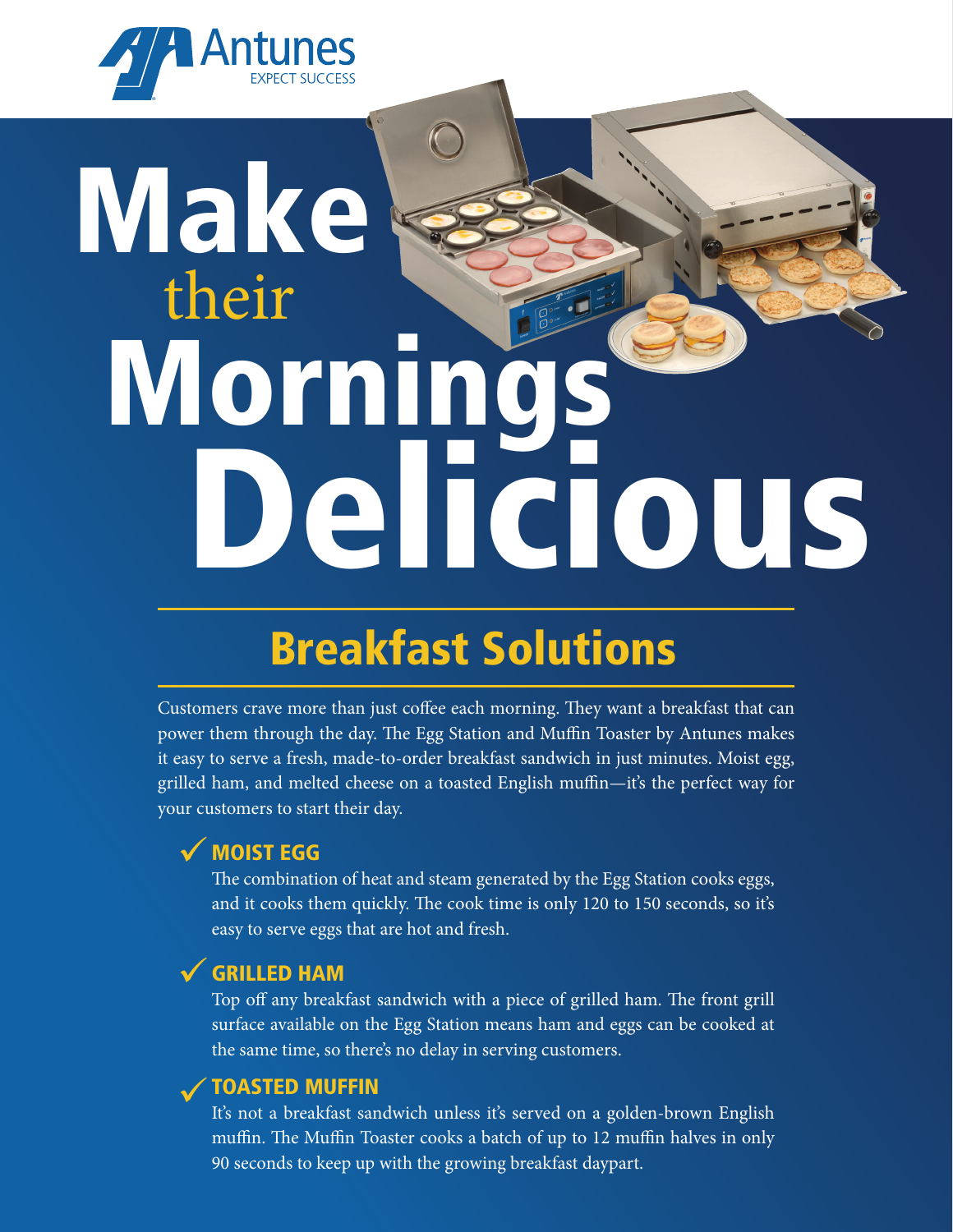

# **Wake** Morning Delicious their

# Breakfast Solutions

Customers crave more than just coffee each morning. They want a breakfast that can power them through the day. The Egg Station and Muffin Toaster by Antunes makes it easy to serve a fresh, made-to-order breakfast sandwich in just minutes. Moist egg, grilled ham, and melted cheese on a toasted English muffin—it's the perfect way for your customers to start their day.

## √ MOIST EGG

The combination of heat and steam generated by the Egg Station cooks eggs, and it cooks them quickly. The cook time is only 120 to 150 seconds, so it's easy to serve eggs that are hot and fresh.

## GRILLED HAM ü

Top off any breakfast sandwich with a piece of grilled ham. The front grill surface available on the Egg Station means ham and eggs can be cooked at the same time, so there's no delay in serving customers.

## V TOASTED MUFFIN

It's not a breakfast sandwich unless it's served on a golden-brown English muffin. The Muffin Toaster cooks a batch of up to 12 muffin halves in only 90 seconds to keep up with the growing breakfast daypart.